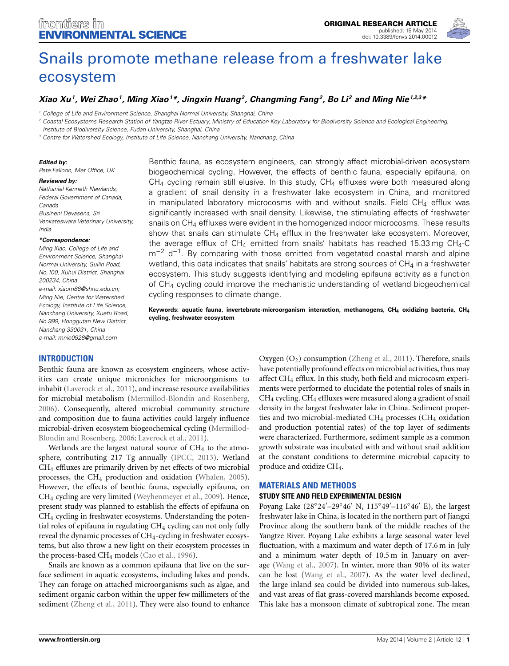

# [Snails promote methane release from a freshwater lake](http://www.frontiersin.org/journal/10.3389/fenvs.2014.00012/abstract) ecosystem

# *[Xiao Xu](http://community.frontiersin.org/people/u/138397)1, Wei Zhao1, Ming Xiao1 \*, Jingxin Huang2, Changming Fang2, [Bo Li](http://community.frontiersin.org/people/u/147829) <sup>2</sup> and [Ming Nie](http://community.frontiersin.org/people/u/66553)1,2,3\**

*<sup>1</sup> College of Life and Environment Science, Shanghai Normal University, Shanghai, China*

*<sup>2</sup> Coastal Ecosystems Research Station of Yangtze River Estuary, Ministry of Education Key Laboratory for Biodiversity Science and Ecological Engineering,*

*<sup>3</sup> Centre for Watershed Ecology, Institute of Life Science, Nanchang University, Nanchang, China*

#### *Edited by:*

*India*

*Pete Falloon, Met Office, UK*

#### *Reviewed by:*

*Nathaniel Kenneth Newlands, Federal Government of Canada, Canada Busineni Devasena, Sri Venkateswara Veterinary University,*

#### *\*Correspondence:*

*Ming Xiao, College of Life and Environment Science, Shanghai Normal University, Guilin Road, No.100, Xuhui District, Shanghai 200234, China e-mail: [xiaom88@shnu.edu.cn;](mailto:xiaom88@shnu.edu.cn;) Ming Nie, Centre for Watershed Ecology, Institute of Life Science, Nanchang University, Xuefu Road, No.999, Honggutan New District, Nanchang 330031, China e-mail: [mnie0928@gmail.com](mailto:mnie0928@gmail.com)*

## **INTRODUCTION**

Benthic fauna are known as ecosystem engineers, whose activities can create unique microniches for microorganisms to inhabit [\(Laverock et al., 2011](#page-5-0)), and increase resource availabilities for microbial metabolism [\(Mermillod-Blondin and Rosenberg,](#page-5-1) [2006](#page-5-1)). Consequently, altered microbial community structure and composition due to fauna activities could largely influence microbial-driven ecosy[stem](#page-5-1) [biogeochemical](#page-5-1) [cycling](#page-5-1) [\(](#page-5-1)Mermillod-Blondin and Rosenberg, [2006](#page-5-1); [Laverock et al., 2011\)](#page-5-0).

Wetlands are the largest natural source of  $CH<sub>4</sub>$  to the atmosphere, contributing 217 Tg annually [\(IPCC, 2013\)](#page-5-2). Wetland CH4 effluxes are primarily driven by net effects of two microbial processes, the CH4 production and oxidation [\(Whalen, 2005](#page-5-3)). However, the effects of benthic fauna, especially epifauna, on CH4 cycling are very limited [\(Weyhenmeyer et al.](#page-5-4), [2009](#page-5-4)). Hence, present study was planned to establish the effects of epifauna on CH4 cycling in freshwater ecosystems. Understanding the potential roles of epifauna in regulating  $CH_4$  cycling can not only fully reveal the dynamic processes of CH4-cycling in freshwater ecosystems, but also throw a new light on their ecosystem processes in the process-based CH<sub>4</sub> models [\(Cao et al., 1996](#page-4-0)).

Snails are known as a common epifauna that live on the surface sediment in aquatic ecosystems, including lakes and ponds. They can forage on attached microorganisms such as algae, and sediment organic carbon within the upper few millimeters of the sediment [\(Zheng et al.](#page-5-5), [2011](#page-5-5)). They were also found to enhance

Benthic fauna, as ecosystem engineers, can strongly affect microbial-driven ecosystem biogeochemical cycling. However, the effects of benthic fauna, especially epifauna, on  $CH<sub>4</sub>$  cycling remain still elusive. In this study,  $CH<sub>4</sub>$  effluxes were both measured along a gradient of snail density in a freshwater lake ecosystem in China, and monitored in manipulated laboratory microcosms with and without snails. Field  $CH<sub>4</sub>$  efflux was significantly increased with snail density. Likewise, the stimulating effects of freshwater snails on CH<sub>4</sub> effluxes were evident in the homogenized indoor microcosms. These results show that snails can stimulate  $CH_4$  efflux in the freshwater lake ecosystem. Moreover, the average efflux of  $CH_4$  emitted from snails' habitats has reached 15.33 mg  $CH_4$ -C m<sup>−2</sup> d<sup>−1</sup>. By comparing with those emitted from vegetated coastal marsh and alpine wetland, this data indicates that snails' habitats are strong sources of  $CH<sub>4</sub>$  in a freshwater ecosystem. This study suggests identifying and modeling epifauna activity as a function of CH4 cycling could improve the mechanistic understanding of wetland biogeochemical cycling responses to climate change.

**Keywords: aquatic fauna, invertebrate-microorganism interaction, methanogens, CH4 oxidizing bacteria, CH4 cycling, freshwater ecosystem**

> Oxygen  $(O_2)$  consumption [\(Zheng et al.](#page-5-5), [2011\)](#page-5-5). Therefore, snails have potentially profound effects on microbial activities, thus may affect CH4 efflux. In this study, both field and microcosm experiments were performed to elucidate the potential roles of snails in CH4 cycling. CH4 effluxes were measured along a gradient of snail density in the largest freshwater lake in China. Sediment properties and two microbial-mediated CH4 processes (CH4 oxidation and production potential rates) of the top layer of sediments were characterized. Furthermore, sediment sample as a common growth substrate was incubated with and without snail addition at the constant conditions to determine microbial capacity to produce and oxidize CH4.

#### **MATERIALS AND METHODS**

#### **STUDY SITE AND FIELD EXPERIMENTAL DESIGN**

Poyang Lake (28°24′–29°46′ N, 115°49′–116°46′ E), the largest freshwater lake in China, is located in the northern part of Jiangxi Province along the southern bank of the middle reaches of the Yangtze River. Poyang Lake exhibits a large seasonal water level fluctuation, with a maximum and water depth of 17.6 m in July and a minimum water depth of 10.5 m in January on average [\(Wang et al., 2007\)](#page-5-6). In winter, more than 90% of its water can be lost [\(Wang et al., 2007\)](#page-5-6). As the water level declined, the large inland sea could be divided into numerous sub-lakes, and vast areas of flat grass-covered marshlands become exposed. This lake has a monsoon climate of subtropical zone. The mean

*Institute of Biodiversity Science, Fudan University, Shanghai, China*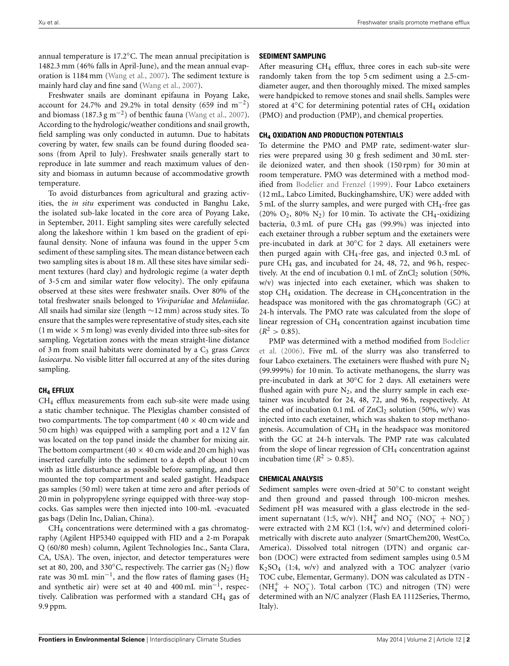annual temperature is 17.2◦C. The mean annual precipitation is 1482.3 mm (46% falls in April-June), and the mean annual evaporation is 1184 mm [\(Wang et al.](#page-5-6), [2007\)](#page-5-6). The sediment texture is mainly hard clay and fine sand [\(Wang et al., 2007](#page-5-6)).

Freshwater snails are dominant epifauna in Poyang Lake, account for 24.7% and 29.2% in total density (659 ind m<sup>-2</sup>) and biomass (187.3 g m<sup>-2</sup>) of benthic fauna [\(Wang et al., 2007\)](#page-5-6). According to the hydrologic/weather conditions and snail growth, field sampling was only conducted in autumn. Due to habitats covering by water, few snails can be found during flooded seasons (from April to July). Freshwater snails generally start to reproduce in late summer and reach maximum values of density and biomass in autumn because of accommodative growth temperature.

To avoid disturbances from agricultural and grazing activities, the *in situ* experiment was conducted in Banghu Lake, the isolated sub-lake located in the core area of Poyang Lake, in September, 2011. Eight sampling sites were carefully selected along the lakeshore within 1 km based on the gradient of epifaunal density. None of infauna was found in the upper 5 cm sediment of these sampling sites. The mean distance between each two sampling sites is about 18 m. All these sites have similar sediment textures (hard clay) and hydrologic regime (a water depth of 3-5 cm and similar water flow velocity). The only epifauna observed at these sites were freshwater snails. Over 80% of the total freshwater snails belonged to *Viviparidae* and *Melaniidae*. All snails had similar size (length ∼12 mm) across study sites. To ensure that the samples were representative of study sites, each site  $(1 \text{ m wide} \times 5 \text{ m long})$  was evenly divided into three sub-sites for sampling. Vegetation zones with the mean straight-line distance of 3 m from snail habitats were dominated by a C<sub>3</sub> grass *Carex lasiocarpa*. No visible litter fall occurred at any of the sites during sampling.

#### **CH<sup>4</sup> EFFLUX**

CH4 efflux measurements from each sub-site were made using a static chamber technique. The Plexiglas chamber consisted of two compartments. The top compartment  $(40 \times 40 \text{ cm})$  wide and 50 cm high) was equipped with a sampling port and a 12 V fan was located on the top panel inside the chamber for mixing air. The bottom compartment (40  $\times$  40 cm wide and 20 cm high) was inserted carefully into the sediment to a depth of about 10 cm with as little disturbance as possible before sampling, and then mounted the top compartment and sealed gastight. Headspace gas samples (50 ml) were taken at time zero and after periods of 20 min in polypropylene syringe equipped with three-way stopcocks. Gas samples were then injected into 100-mL -evacuated gas bags (Delin Inc, Dalian, China).

CH4 concentrations were determined with a gas chromatography (Agilent HP5340 equipped with FID and a 2-m Porapak Q (60/80 mesh) column, Agilent Technologies Inc., Santa Clara, CA, USA). The oven, injector, and detector temperatures were set at 80, 200, and 330 $^{\circ}$ C, respectively. The carrier gas (N<sub>2</sub>) flow rate was 30 mL min<sup>-1</sup>, and the flow rates of flaming gases (H<sub>2</sub> and synthetic air) were set at 40 and 400 mL min−1, respectively. Calibration was performed with a standard CH4 gas of 9.9 ppm.

## **SEDIMENT SAMPLING**

After measuring  $CH_4$  efflux, three cores in each sub-site were randomly taken from the top 5 cm sediment using a 2.5-cmdiameter auger, and then thoroughly mixed. The mixed samples were handpicked to remove stones and snail shells. Samples were stored at 4◦C for determining potential rates of CH4 oxidation (PMO) and production (PMP), and chemical properties.

#### **CH<sup>4</sup> OXIDATION AND PRODUCTION POTENTIALS**

To determine the PMO and PMP rate, sediment-water slurries were prepared using 30 g fresh sediment and 30 mL sterile deionized water, and then shook (150 rpm) for 30 min at room temperature. PMO was determined with a method modified from [Bodelier and Frenzel](#page-4-1) [\(1999\)](#page-4-1). Four Labco exetainers (12 mL, Labco Limited, Buckinghamshire, UK) were added with  $5$  mL of the slurry samples, and were purged with  $CH<sub>4</sub>$ -free gas (20%  $O_2$ , 80%  $N_2$ ) for 10 min. To activate the CH<sub>4</sub>-oxidizing bacteria,  $0.3$  mL of pure CH<sub>4</sub> gas (99.9%) was injected into each exetainer through a rubber septum and the exetainers were pre-incubated in dark at 30◦C for 2 days. All exetainers were then purged again with CH4-free gas, and injected 0.3 mL of pure CH4 gas, and incubated for 24, 48, 72, and 96 h, respectively. At the end of incubation  $0.1$  mL of  $ZnCl<sub>2</sub>$  solution (50%, w/v) was injected into each exetainer, which was shaken to stop CH<sub>4</sub> oxidation. The decrease in CH<sub>4</sub> concentration in the headspace was monitored with the gas chromatograph (GC) at 24-h intervals. The PMO rate was calculated from the slope of linear regression of  $CH<sub>4</sub>$  concentration against incubation time  $(R^2 > 0.85)$ .

P[MP was determined with a method modified from](#page-4-2) Bodelier et al. [\(2006\)](#page-4-2). Five mL of the slurry was also transferred to four Labco exetainers. The exetainers were flushed with pure  $N_2$ (99.999%) for 10 min. To activate methanogens, the slurry was pre-incubated in dark at 30◦C for 2 days. All exetainers were flushed again with pure  $N_2$ , and the slurry sample in each exetainer was incubated for 24, 48, 72, and 96 h, respectively. At the end of incubation 0.1 mL of  $ZnCl<sub>2</sub>$  solution (50%, w/v) was injected into each exetainer, which was shaken to stop methanogenesis. Accumulation of CH4 in the headspace was monitored with the GC at 24-h intervals. The PMP rate was calculated from the slope of linear regression of CH<sub>4</sub> concentration against incubation time  $(R^2 > 0.85)$ .

#### **CHEMICAL ANALYSIS**

Sediment samples were oven-dried at 50◦C to constant weight and then ground and passed through 100-micron meshes. Sediment pH was measured with a glass electrode in the sediment supernatant (1:5, w/v).  $NH_4^+$  and  $NO_3^ (NO_3^- + NO_2^-)$ were extracted with 2 M KCl (1:4, w/v) and determined colorimetrically with discrete auto analyzer (SmartChem200, WestCo, America). Dissolved total nitrogen (DTN) and organic carbon (DOC) were extracted from sediment samples using 0.5 M  $K_2SO_4$  (1:4, w/v) and analyzed with a TOC analyzer (vario TOC cube, Elementar, Germany). DON was calculated as DTN -  $(NH<sub>4</sub><sup>+</sup> + NO<sub>3</sub><sup>-</sup>)$ . Total carbon (TC) and nitrogen (TN) were determined with an N/C analyzer (Flash EA 1112Series, Thermo, Italy).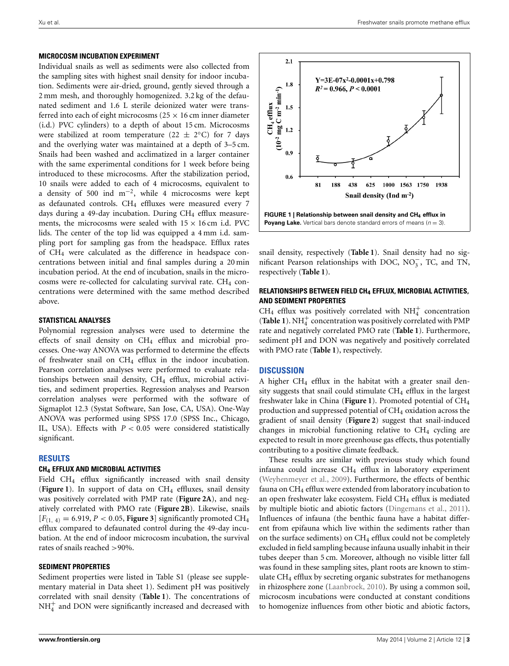#### **MICROCOSM INCUBATION EXPERIMENT**

Individual snails as well as sediments were also collected from the sampling sites with highest snail density for indoor incubation. Sediments were air-dried, ground, gently sieved through a 2 mm mesh, and thoroughly homogenized. 3.2 kg of the defaunated sediment and 1.6 L sterile deionized water were transferred into each of eight microcosms ( $25 \times 16$  cm inner diameter (i.d.) PVC cylinders) to a depth of about 15 cm. Microcosms were stabilized at room temperature (22  $\pm$  2°C) for 7 days and the overlying water was maintained at a depth of 3–5 cm. Snails had been washed and acclimatized in a larger container with the same experimental conditions for 1 week before being introduced to these microcosms. After the stabilization period, 10 snails were added to each of 4 microcosms, equivalent to a density of 500 ind  $m^{-2}$ , while 4 microcosms were kept as defaunated controls.  $CH_4$  effluxes were measured every 7 days during a 49-day incubation. During CH<sub>4</sub> efflux measurements, the microcosms were sealed with  $15 \times 16$  cm i.d. PVC lids. The center of the top lid was equipped a 4 mm i.d. sampling port for sampling gas from the headspace. Efflux rates of CH4 were calculated as the difference in headspace concentrations between initial and final samples during a 20 min incubation period. At the end of incubation, snails in the microcosms were re-collected for calculating survival rate. CH<sub>4</sub> concentrations were determined with the same method described above.

### **STATISTICAL ANALYSES**

Polynomial regression analyses were used to determine the effects of snail density on CH4 efflux and microbial processes. One-way ANOVA was performed to determine the effects of freshwater snail on  $CH_4$  efflux in the indoor incubation. Pearson correlation analyses were performed to evaluate relationships between snail density, CH<sub>4</sub> efflux, microbial activities, and sediment properties. Regression analyses and Pearson correlation analyses were performed with the software of Sigmaplot 12.3 (Systat Software, San Jose, CA, USA). One-Way ANOVA was performed using SPSS 17.0 (SPSS Inc., Chicago, IL, USA). Effects with *P <* 0*.*05 were considered statistically significant.

#### **RESULTS**

#### **CH<sup>4</sup> EFFLUX AND MICROBIAL ACTIVITIES**

Field CH<sub>4</sub> efflux significantly increased with snail density ([Figure 1](#page-2-0)). In support of data on  $CH_4$  effluxes, snail density was positively correlated with PMP rate (**[Figure 2A](#page-3-0)**), and negatively correlated with PMO rate (**[Figure 2B](#page-3-0)**). Likewise, snails  $[F_{(1,4)} = 6.919, P < 0.05$ , **[Figure 3](#page-3-1)** significantly promoted CH<sub>4</sub> efflux compared to defaunated control during the 49-day incubation. At the end of indoor microcosm incubation, the survival rates of snails reached *>*90%.

## **SEDIMENT PROPERTIES**

Sediment properties were listed in Table S1 (please see supplementary material in Data sheet 1). Sediment pH was positively correlated with snail density (**[Table 1](#page-3-2)**). The concentrations of  $NH<sub>4</sub><sup>+</sup>$  and DON were significantly increased and decreased with



<span id="page-2-0"></span>snail density, respectively (**[Table 1](#page-3-2)**). Snail density had no significant Pearson relationships with DOC,  $NO_3^-$ , TC, and TN, respectively (**[Table 1](#page-3-2)**).

# **RELATIONSHIPS BETWEEN FIELD CH<sup>4</sup> EFFLUX, MICROBIAL ACTIVITIES, AND SEDIMENT PROPERTIES**

CH<sub>4</sub> efflux was positively correlated with NH<sup>+</sup> concentration (**[Table 1](#page-3-2)**).  $NH_4^+$  concentration was positively correlated with PMP rate and negatively correlated PMO rate (**[Table 1](#page-3-2)**). Furthermore, sediment pH and DON was negatively and positively correlated with PMO rate (**[Table 1](#page-3-2)**), respectively.

# **DISCUSSION**

A higher  $CH_4$  efflux in the habitat with a greater snail density suggests that snail could stimulate  $CH<sub>4</sub>$  efflux in the largest freshwater lake in China (**[Figure 1](#page-2-0)**). Promoted potential of CH4 production and suppressed potential of CH4 oxidation across the gradient of snail density (**[Figure 2](#page-3-0)**) suggest that snail-induced changes in microbial functioning relative to  $CH<sub>4</sub>$  cycling are expected to result in more greenhouse gas effects, thus potentially contributing to a positive climate feedback.

These results are similar with previous study which found infauna could increase  $CH_4$  efflux in laboratory experiment [\(Weyhenmeyer et al.](#page-5-4), [2009\)](#page-5-4). Furthermore, the effects of benthic fauna on CH4 efflux were extended from laboratory incubation to an open freshwater lake ecosystem. Field  $CH<sub>4</sub>$  efflux is mediated by multiple biotic and abiotic factors [\(Dingemans et al.](#page-5-7), [2011](#page-5-7)). Influences of infauna (the benthic fauna have a habitat different from epifauna which live within the sediments rather than on the surface sediments) on  $CH_4$  efflux could not be completely excluded in field sampling because infauna usually inhabit in their tubes deeper than 5 cm. Moreover, although no visible litter fall was found in these sampling sites, plant roots are known to stimulate CH4 efflux by secreting organic substrates for methanogens in rhizosphere zone [\(Laanbroek](#page-5-8), [2010](#page-5-8)). By using a common soil, microcosm incubations were conducted at constant conditions to homogenize influences from other biotic and abiotic factors,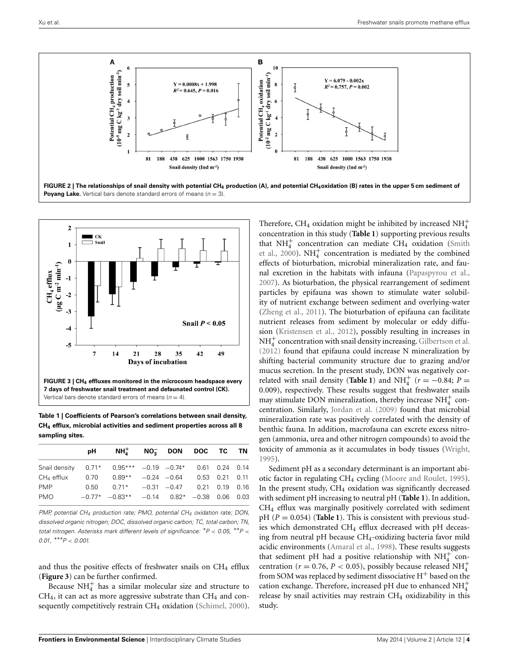

<span id="page-3-0"></span>![](_page_3_Figure_3.jpeg)

<span id="page-3-2"></span><span id="page-3-1"></span>**Table 1 | Coefficients of Pearson's correlations between snail density, CH4 efflux, microbial activities and sediment properties across all 8 sampling sites.**

|  |    |                |  | 0.03                                                                                                                                                                                                                                                   |
|--|----|----------------|--|--------------------------------------------------------------------------------------------------------------------------------------------------------------------------------------------------------------------------------------------------------|
|  | pH | $0.50$ $0.71*$ |  | $NH_4^+$ no- don doc tc tn<br>Snail density $0.71^*$ $0.95^{***}$ $-0.19$ $-0.74^*$ $0.61$ 0.24 0.14<br>$0.70$ $0.89**$ $-0.24$ $-0.64$ $0.53$ $0.21$ $0.11$<br>$-0.31$ $-0.47$ 0.21 0.19 0.16<br>$-0.77^*$ $-0.83^{**}$ $-0.14$ $0.82^*$ $-0.38$ 0.06 |

*PMP, potential CH4 production rate; PMO, potential CH4 oxidation rate; DON, dissolved organic nitrogen; DOC, dissolved organic carbon; TC, total carbon; TN, total nitrogen. Asterisks mark different levels of significance: \*P < 0.05, \*\*P < 0.01, \*\*\*P < 0.001.*

and thus the positive effects of freshwater snails on  $CH<sub>4</sub>$  efflux (**[Figure 3](#page-3-1)**) can be further confirmed.

Because  $NH_4^+$  has a similar molecular size and structure to  $CH<sub>4</sub>$ , it can act as more aggressive substrate than  $CH<sub>4</sub>$  and con-sequently competitively restrain CH<sub>4</sub> oxidation [\(Schimel, 2000\)](#page-5-9).

Therefore, CH<sub>4</sub> oxidation might be inhibited by increased  $NH_4^+$ concentration in this study (**[Table 1](#page-3-2)**) supporting previous results that  $NH<sub>4</sub><sup>+</sup>$  concentration can mediate CH<sub>4</sub> oxidation (Smith et al., [2000](#page-5-10)).  $NH_4^+$  concentration is mediated by the combined effects of bioturbation, microbial mineralization rate, and faunal excretion in the habitats with infauna [\(Papaspyrou et al.](#page-5-11), [2007](#page-5-11)). As bioturbation, the physical rearrangement of sediment particles by epifauna was shown to stimulate water solubility of nutrient exchange between sediment and overlying-water [\(Zheng et al., 2011](#page-5-5)). The bioturbation of epifauna can facilitate nutrient releases from sediment by molecular or eddy diffusion [\(Kristensen et al.](#page-5-12), [2012](#page-5-12)), possibly resulting in increases in  $NH<sub>4</sub><sup>+</sup>$  concentration with snail density increasing. [Gilbertson et al.](#page-5-13) [\(2012\)](#page-5-13) found that epifauna could increase N mineralization by shifting bacterial community structure due to grazing and/or mucus secretion. In the present study, DON was negatively correlated with snail density (**[Table 1](#page-3-2)**) and  $NH_4^+$  ( $r = -0.84; P =$ 0*.*009), respectively. These results suggest that freshwater snails may stimulate DON mineralization, thereby increase  $NH<sub>4</sub><sup>+</sup>$  concentration. Similarly, [Jordan et al.](#page-5-14) [\(2009](#page-5-14)) found that microbial mineralization rate was positively correlated with the density of benthic fauna. In addition, macrofauna can excrete excess nitrogen (ammonia, urea and other nitrogen compounds) to avoid the toxicity of ammonia as it accumulates in body tissues [\(Wright](#page-5-15), [1995](#page-5-15)).

Sediment pH as a secondary determinant is an important abiotic factor in regulating CH4 cycling [\(Moore and Roulet, 1995\)](#page-5-16). In the present study,  $CH_4$  oxidation was significantly decreased with sediment pH increasing to neutral pH (**[Table 1](#page-3-2)**). In addition, CH4 efflux was marginally positively correlated with sediment pH  $(P = 0.054)$  (**[Table 1](#page-3-2)**). This is consistent with previous studies which demonstrated CH<sub>4</sub> efflux decreased with pH deceasing from neutral pH because CH4-oxidizing bacteria favor mild acidic environments [\(Amaral et al., 1998\)](#page-4-3). These results suggests that sediment pH had a positive relationship with  $NH_4^+$  concentration ( $r = 0.76$ ,  $P < 0.05$ ), possibly because released NH<sup>+</sup><sub>4</sub> from SOM was replaced by sediment dissociative  $H^+$  based on the cation exchange. Therefore, increased pH due to enhanced  $NH_4^+$ release by snail activities may restrain CH<sub>4</sub> oxidizability in this study.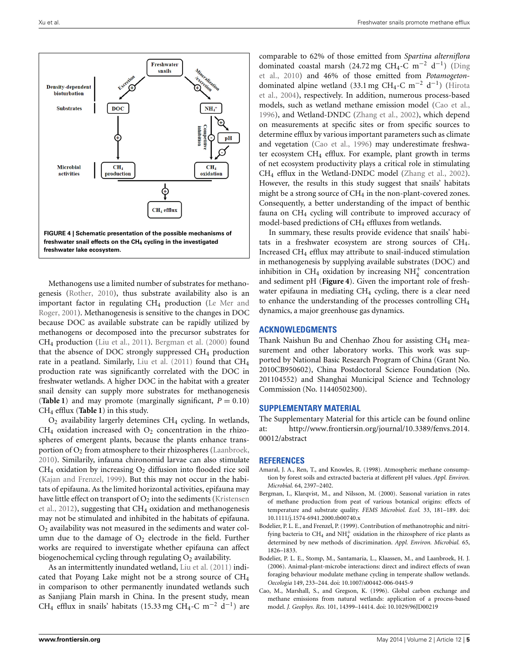![](_page_4_Figure_2.jpeg)

<span id="page-4-5"></span>Methanogens use a limited number of substrates for methanogenesis [\(Rother, 2010\)](#page-5-17), thus substrate availability also is an important factor in regulating  $CH_4$  production (Le Mer and Roger, [2001\)](#page-5-18). Methanogenesis is sensitive to the changes in DOC because DOC as available substrate can be rapidly utilized by methanogens or decomposed into the precursor substrates for CH4 production [\(Liu et al.](#page-5-19), [2011\)](#page-5-19). [Bergman et al.](#page-4-4) [\(2000](#page-4-4)) found that the absence of DOC strongly suppressed  $CH<sub>4</sub>$  production rate in a peatland. Similarly, [Liu et al.](#page-5-19) [\(2011\)](#page-5-19) found that CH<sub>4</sub> production rate was significantly correlated with the DOC in freshwater wetlands. A higher DOC in the habitat with a greater snail density can supply more substrates for methanogenesis (**[Table 1](#page-3-2)**) and may promote (marginally significant,  $P = 0.10$ ) CH4 efflux (**[Table 1](#page-3-2)**) in this study.

 $O<sub>2</sub>$  availability largerly detemines CH<sub>4</sub> cycling. In wetlands,  $CH<sub>4</sub>$  oxidation increased with  $O<sub>2</sub>$  concentration in the rhizospheres of emergent plants, because the plants enhance transportion of  $O_2$  from atmosphere to their rhizospheres [\(Laanbroek,](#page-5-8) [2010](#page-5-8)). Similarily, infauna chironomid larvae can also stimulate  $CH<sub>4</sub>$  oxidation by increasing  $O<sub>2</sub>$  diffusion into flooded rice soil [\(Kajan and Frenzel, 1999\)](#page-5-20). But this may not occur in the habitats of epifauna. As the limited horizontal activities, epifauna may have little effect on transport of  $O_2$  into the sediments (Kristensen et al., [2012\)](#page-5-12), suggesting that CH4 oxidation and methanogenesis may not be stimulated and inhibited in the habitats of epifauna.  $O<sub>2</sub>$  availability was not measured in the sediments and water column due to the damage of  $O_2$  electrode in the field. Further works are required to inverstigate whether epifauna can affect biogenochemical cycling through regulating  $O<sub>2</sub>$  availability.

As an intermittently inundated wetland, [Liu et al.](#page-5-19) [\(2011](#page-5-19)) indicated that Poyang Lake might not be a strong source of CH4 in comparison to other permanently inundated wetlands such as Sanjiang Plain marsh in China. In the present study, mean CH<sub>4</sub> efflux in snails' habitats (15.33 mg CH<sub>4</sub>-C m<sup>-2</sup> d<sup>-1</sup>) are

comparable to 62% of those emitted from *Spartina alterniflora* domi[nated](#page-5-21) [coastal](#page-5-21) [marsh](#page-5-21) [\(24.72](#page-5-21) [mg](#page-5-21) CH<sub>4</sub>-C [m](#page-5-21)<sup>-2</sup> d<sup>-1</sup>) (Ding et al., [2010](#page-5-21)) and 46% of those emitted from *Potamogeton*dom[inated](#page-5-22) [alpine](#page-5-22) [wetland](#page-5-22) [\(33.1](#page-5-22) [mg](#page-5-22) [CH4-C](#page-5-22) [m](#page-5-22)−<sup>2</sup> d−1) (Hirota et al., [2004](#page-5-22)), respectively. In addition, numerous process-based models, such as wetland methane emission model [\(Cao et al.,](#page-4-0) [1996](#page-4-0)), and Wetland-DNDC [\(Zhang et al.](#page-5-23), [2002\)](#page-5-23), which depend on measurements at specific sites or from specific sources to determine efflux by various important parameters such as climate and vegetation [\(Cao et al.](#page-4-0), [1996\)](#page-4-0) may underestimate freshwater ecosystem CH<sub>4</sub> efflux. For example, plant growth in terms of net ecosystem productivity plays a critical role in stimulating CH4 efflux in the Wetland-DNDC model [\(Zhang et al.](#page-5-23), [2002](#page-5-23)). However, the results in this study suggest that snails' habitats might be a strong source of  $CH_4$  in the non-plant-covered zones. Consequently, a better understanding of the impact of benthic fauna on CH4 cycling will contribute to improved accuracy of model-based predictions of CH<sub>4</sub> effluxes from wetlands.

In summary, these results provide evidence that snails' habitats in a freshwater ecosystem are strong sources of  $CH<sub>4</sub>$ . Increased CH4 efflux may attribute to snail-induced stimulation in methanogenesis by supplying available substrates (DOC) and inhibition in  $CH_4$  oxidation by increasing  $NH<sub>4</sub><sup>+</sup>$  concentration and sediment pH (**[Figure 4](#page-4-5)**). Given the important role of freshwater epifauna in mediating  $CH_4$  cycling, there is a clear need to enhance the understanding of the processes controlling CH4 dynamics, a major greenhouse gas dynamics.

## **ACKNOWLEDGMENTS**

Thank Naishun Bu and Chenhao Zhou for assisting CH<sub>4</sub> measurement and other laboratory works. This work was supported by National Basic Research Program of China (Grant No. 2010CB950602), China Postdoctoral Science Foundation (No. 201104552) and Shanghai Municipal Science and Technology Commission (No. 11440502300).

# **SUPPLEMENTARY MATERIAL**

The Supplementary Material for this article can be found online at: http://www*.*frontiersin*.*[org/journal/10](http://www.frontiersin.org/journal/10.3389/fenvs.2014.00012/abstract)*.*3389/fenvs*.*2014*.* [00012/abstract](http://www.frontiersin.org/journal/10.3389/fenvs.2014.00012/abstract)

#### **REFERENCES**

- <span id="page-4-3"></span>Amaral, J. A., Ren, T., and Knowles, R. (1998). Atmospheric methane consumption by forest soils and extracted bacteria at different pH values. *Appl. Environ. Microbial.* 64, 2397–2402.
- <span id="page-4-4"></span>Bergman, I., Klarqvist, M., and Nilsson, M. (2000). Seasonal variation in rates of methane production from peat of various botanical origins: effects of temperature and substrate quality. *FEMS Microbiol. Ecol.* 33, 181–189. doi: 10.1111/j.1574-6941.2000.tb00740.x
- <span id="page-4-1"></span>Bodelier, P. L. E., and Frenzel, P. (1999). Contribution of methanotrophic and nitrifying bacteria to  $CH_4$  and  $NH_4^+$  oxidation in the rhizosphere of rice plants as determined by new methods of discrimination. *Appl. Environ. Microbial.* 65, 1826–1833.
- <span id="page-4-2"></span>Bodelier, P. L. E., Stomp, M., Santamaria, L., Klaassen, M., and Laanbroek, H. J. (2006). Animal-plant-microbe interactions: direct and indirect effects of swan foraging behaviour modulate methane cycling in temperate shallow wetlands. *Oecologia* 149, 233–244. doi: 10.1007/s00442-006-0445-9
- <span id="page-4-0"></span>Cao, M., Marshall, S., and Gregson, K. (1996). Global carbon exchange and methane emissions from natural wetlands: application of a process-based model. *J. Geophys. Res.* 101, 14399–14414. doi: 10.1029/96JD00219